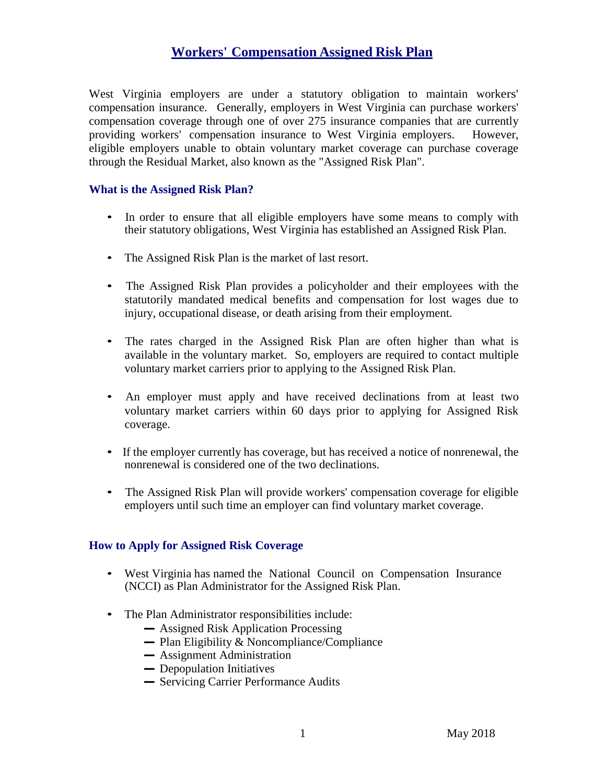## **Workers' Compensation Assigned Risk Plan**

West Virginia employers are under a statutory obligation to maintain workers' compensation insurance. Generally, employers in West Virginia can purchase workers' compensation coverage through one of over 275 insurance companies that are currently providing workers' compensation insurance to West Virginia employers. However, eligible employers unable to obtain voluntary market coverage can purchase coverage through the Residual Market, also known as the "Assigned Risk Plan".

#### **What is the Assigned Risk Plan?**

- In order to ensure that all eligible employers have some means to comply with their statutory obligations, West Virginia has established an Assigned Risk Plan.
- The Assigned Risk Plan is the market of last resort.
- The Assigned Risk Plan provides a policyholder and their employees with the statutorily mandated medical benefits and compensation for lost wages due to injury, occupational disease, or death arising from their employment.
- The rates charged in the Assigned Risk Plan are often higher than what is available in the voluntary market. So, employers are required to contact multiple voluntary market carriers prior to applying to the Assigned Risk Plan.
- An employer must apply and have received declinations from at least two voluntary market carriers within 60 days prior to applying for Assigned Risk coverage.
- If the employer currently has coverage, but has received a notice of nonrenewal, the nonrenewal is considered one of the two declinations.
- The Assigned Risk Plan will provide workers' compensation coverage for eligible employers until such time an employer can find voluntary market coverage.

#### **How to Apply for Assigned Risk Coverage**

- West Virginia has named the National Council on Compensation Insurance (NCCI) as Plan Administrator for the Assigned Risk Plan.
- The Plan Administrator responsibilities include: **-** Assigned Risk Application Processing
	-
	- Assigned Risk Application Processing<br>
	Plan Eligibility & Noncompliance/Compliance<br>
	Assignment Administration **-** Plan Eligibility & Noncompliance/Co<br> **-** Assignment Administration
	- Assignment Administration<br>- Depopulation Initiatives
	-
	- **-** Servicing Carrier Performance Audits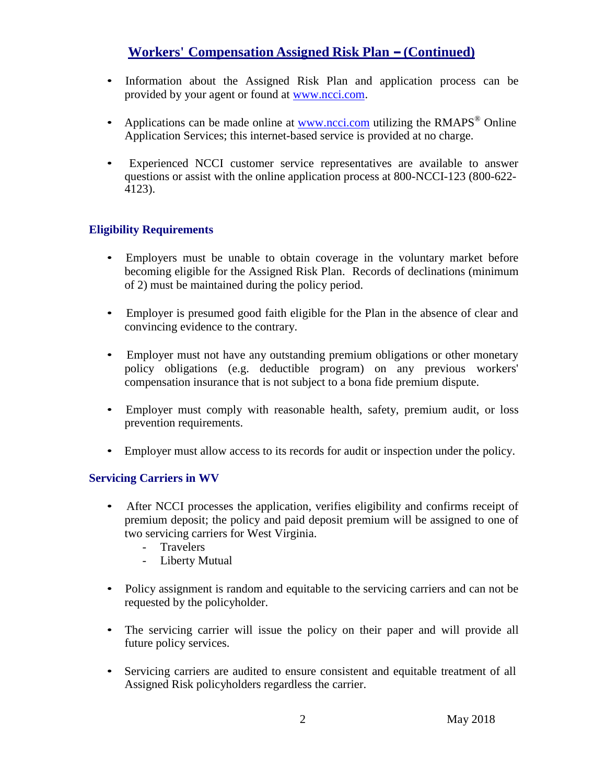# **Workers' Compensation Assigned Risk Plan -(Continued)**

- Information about the Assigned Risk Plan and application process can be provided by your agent or found at [www.ncci.com.](http://www.ncci.com/)
- Applications can be made online at [www.ncci.com](http://www.ncci.com/) utilizing the  $RMAPS^{\circledast}$  Online Application Services; this internet-based service is provided at no charge.
- Experienced NCCI customer service representatives are available to answer questions or assist with the online application process at 800-NCCI-123 (800-622- 4123).

## **Eligibility Requirements**

- Employers must be unable to obtain coverage in the voluntary market before becoming eligible for the Assigned Risk Plan. Records of declinations (minimum of 2) must be maintained during the policy period.
- Employer is presumed good faith eligible for the Plan in the absence of clear and convincing evidence to the contrary.
- Employer must not have any outstanding premium obligations or other monetary policy obligations (e.g. deductible program) on any previous workers' compensation insurance that is not subject to a bona fide premium dispute.
- Employer must comply with reasonable health, safety, premium audit, or loss prevention requirements.
- Employer must allow access to its records for audit or inspection under the policy.

## **Servicing Carriers in WV**

- After NCCI processes the application, verifies eligibility and confirms receipt of premium deposit; the policy and paid deposit premium will be assigned to one of two servicing carriers for West Virginia.
	- Travelers
	- Liberty Mutual
- Policy assignment is random and equitable to the servicing carriers and can not be requested by the policyholder.
- The servicing carrier will issue the policy on their paper and will provide all future policy services.
- Servicing carriers are audited to ensure consistent and equitable treatment of all Assigned Risk policyholders regardless the carrier.